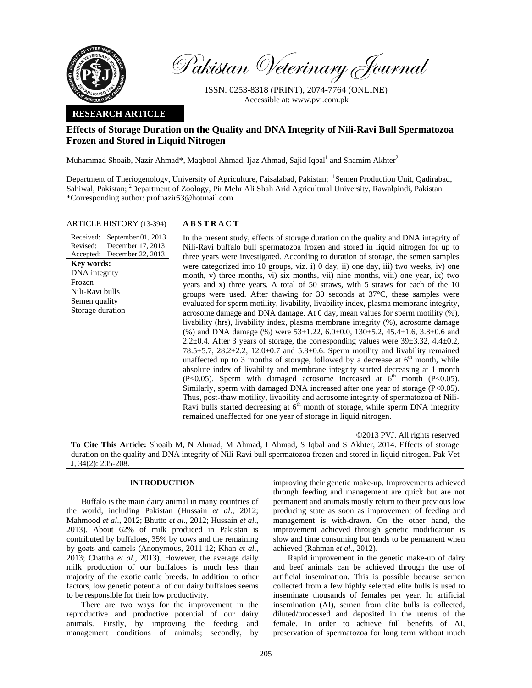

Pakistan Veterinary Journal

ISSN: 0253-8318 (PRINT), 2074-7764 (ONLINE) Accessible at: www.pvj.com.pk

## **RESEARCH ARTICLE**

# **Effects of Storage Duration on the Quality and DNA Integrity of Nili-Ravi Bull Spermatozoa Frozen and Stored in Liquid Nitrogen**

Muhammad Shoaib, Nazir Ahmad\*, Maqbool Ahmad, Ijaz Ahmad, Sajid Iqbal $^1$  and Shamim Akhter $^2$ 

Department of Theriogenology, University of Agriculture, Faisalabad, Pakistan; <sup>1</sup>Semen Production Unit, Qadirabad, Sahiwal, Pakistan; <sup>2</sup>Department of Zoology, Pir Mehr Ali Shah Arid Agricultural University, Rawalpindi, Pakistan \*Corresponding author: profnazir53@hotmail.com

## ARTICLE HISTORY (13-394) **ABSTRACT**

Received: September 01, 2013 Revised: Accepted: December 22, 2013 December 17, 2013 **Key words:**  DNA integrity Frozen Nili-Ravi bulls Semen quality Storage duration

 In the present study, effects of storage duration on the quality and DNA integrity of Nili-Ravi buffalo bull spermatozoa frozen and stored in liquid nitrogen for up to three years were investigated. According to duration of storage, the semen samples were categorized into 10 groups, viz. i) 0 day, ii) one day, iii) two weeks, iv) one month, v) three months, vi) six months, vii) nine months, viii) one year, ix) two years and x) three years. A total of 50 straws, with 5 straws for each of the 10 groups were used. After thawing for 30 seconds at 37°C, these samples were evaluated for sperm motility, livability, livability index, plasma membrane integrity, acrosome damage and DNA damage. At 0 day, mean values for sperm motility (%), livability (hrs), livability index, plasma membrane integrity (%), acrosome damage (%) and DNA damage (%) were  $53\pm1.22$ ,  $6.0\pm0.0$ ,  $130\pm5.2$ ,  $45.4\pm1.6$ ,  $3.8\pm0.6$  and 2.2 $\pm$ 0.4. After 3 years of storage, the corresponding values were 39 $\pm$ 3.32, 4.4 $\pm$ 0.2, 78.5 $\pm$ 5.7, 28.2 $\pm$ 2.2, 12.0 $\pm$ 0.7 and 5.8 $\pm$ 0.6. Sperm motility and livability remained unaffected up to 3 months of storage, followed by a decrease at  $6<sup>th</sup>$  month, while absolute index of livability and membrane integrity started decreasing at 1 month (P<0.05). Sperm with damaged acrosome increased at  $6<sup>th</sup>$  month (P<0.05). Similarly, sperm with damaged DNA increased after one year of storage (P<0.05). Thus, post-thaw motility, livability and acrosome integrity of spermatozoa of Nili-Ravi bulls started decreasing at  $6<sup>th</sup>$  month of storage, while sperm DNA integrity remained unaffected for one year of storage in liquid nitrogen.

©2013 PVJ. All rights reserved

**To Cite This Article:** Shoaib M, N Ahmad, M Ahmad, I Ahmad, S Iqbal and S Akhter, 2014. Effects of storage duration on the quality and DNA integrity of Nili-Ravi bull spermatozoa frozen and stored in liquid nitrogen. Pak Vet J, 34(2): 205-208.

## **INTRODUCTION**

Buffalo is the main dairy animal in many countries of the world, including Pakistan (Hussain *et al*., 2012; Mahmood *et al*., 2012; Bhutto *et al*., 2012; Hussain *et al*., 2013). About 62% of milk produced in Pakistan is contributed by buffaloes, 35% by cows and the remaining by goats and camels (Anonymous, 2011-12; Khan *et al*., 2013; Chattha *et al*., 2013). However, the average daily milk production of our buffaloes is much less than majority of the exotic cattle breeds. In addition to other factors, low genetic potential of our dairy buffaloes seems to be responsible for their low productivity.

There are two ways for the improvement in the reproductive and productive potential of our dairy animals. Firstly, by improving the feeding and management conditions of animals; secondly, by

improving their genetic make-up. Improvements achieved through feeding and management are quick but are not permanent and animals mostly return to their previous low producing state as soon as improvement of feeding and management is with-drawn. On the other hand, the improvement achieved through genetic modification is slow and time consuming but tends to be permanent when achieved (Rahman *et al*., 2012).

Rapid improvement in the genetic make-up of dairy and beef animals can be achieved through the use of artificial insemination. This is possible because semen collected from a few highly selected elite bulls is used to inseminate thousands of females per year. In artificial insemination (AI), semen from elite bulls is collected, diluted/processed and deposited in the uterus of the female. In order to achieve full benefits of AI, preservation of spermatozoa for long term without much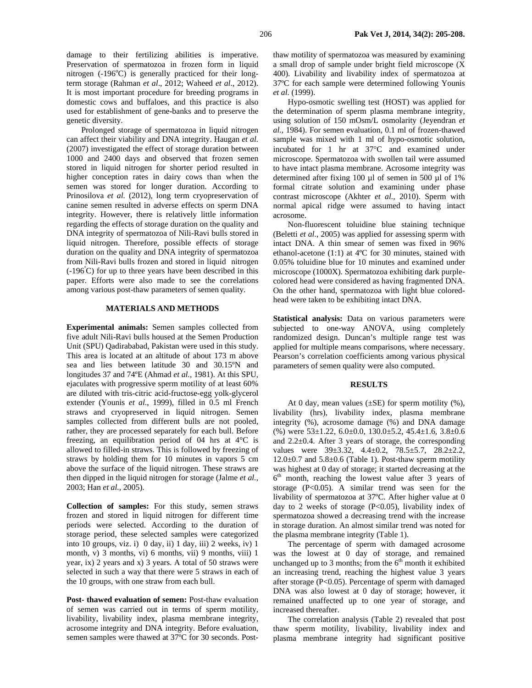damage to their fertilizing abilities is imperative. Preservation of spermatozoa in frozen form in liquid nitrogen  $(-196^{\circ}\text{C})$  is generally practiced for their longterm storage (Rahman *et al*., 2012; Waheed *et al*., 2012). It is most important procedure for breeding programs in domestic cows and buffaloes, and this practice is also used for establishment of gene-banks and to preserve the genetic diversity.

Prolonged storage of spermatozoa in liquid nitrogen can affect their viability and DNA integrity. Haugan *et al.* (2007) investigated the effect of storage duration between 1000 and 2400 days and observed that frozen semen stored in liquid nitrogen for shorter period resulted in higher conception rates in dairy cows than when the semen was stored for longer duration. According to Prinosilova et al. (2012), long term cryopreservation of canine semen resulted in adverse effects on sperm DNA integrity. However, there is relatively little information regarding the effects of storage duration on the quality and DNA integrity of spermatozoa of Nili-Ravi bulls stored in liquid nitrogen. Therefore, possible effects of storage duration on the quality and DNA integrity of spermatozoa from Nili-Ravi bulls frozen and stored in liquid nitrogen (-196<sup>º</sup> C) for up to three years have been described in this paper. Efforts were also made to see the correlations among various post-thaw parameters of semen quality.

## **MATERIALS AND METHODS**

**Experimental animals:** Semen samples collected from five adult Nili-Ravi bulls housed at the Semen Production Unit (SPU) Qadirababad, Pakistan were used in this study. This area is located at an altitude of about 173 m above sea and lies between latitude 30 and 30.15ºN and longitudes 37 and 74ºE (Ahmad *et al.*, 1981). At this SPU, ejaculates with progressive sperm motility of at least 60% are diluted with tris-citric acid-fructose-egg yolk-glycerol extender (Younis *et al.*, 1999), filled in 0.5 ml French straws and cryopreserved in liquid nitrogen. Semen samples collected from different bulls are not pooled, rather, they are processed separately for each bull. Before freezing, an equilibration period of 04 hrs at 4°C is allowed to filled-in straws. This is followed by freezing of straws by holding them for 10 minutes in vapors 5 cm above the surface of the liquid nitrogen. These straws are then dipped in the liquid nitrogen for storage (Jalme *et al.*, 2003; Han *et al.*, 2005).

**Collection of samples:** For this study, semen straws frozen and stored in liquid nitrogen for different time periods were selected. According to the duration of storage period, these selected samples were categorized into 10 groups, viz. i) 0 day, ii) 1 day, iii) 2 weeks, iv) 1 month, v) 3 months, vi) 6 months, vii) 9 months, viii) 1 year, ix) 2 years and x) 3 years. A total of 50 straws were selected in such a way that there were 5 straws in each of the 10 groups, with one straw from each bull.

Post- thawed evaluation of semen: Post-thaw evaluation of semen was carried out in terms of sperm motility, livability, livability index, plasma membrane integrity, acrosome integrity and DNA integrity. Before evaluation, semen samples were thawed at 37ºC for 30 seconds. Postthaw motility of spermatozoa was measured by examining a small drop of sample under bright field microscope (X 400). Livability and livability index of spermatozoa at 37ºC for each sample were determined following Younis *et al.* (1999).

Hypo-osmotic swelling test (HOST) was applied for the determination of sperm plasma membrane integrity, using solution of 150 mOsm/L osmolarity (Jeyendran *et al.,* 1984). For semen evaluation, 0.1 ml of frozen-thawed sample was mixed with 1 ml of hypo-osmotic solution, incubated for 1 hr at 37°C and examined under microscope. Spermatozoa with swollen tail were assumed to have intact plasma membrane. Acrosome integrity was determined after fixing 100 µl of semen in 500 µl of 1% formal citrate solution and examining under phase contrast microscope (Akhter *et al.,* 2010). Sperm with normal apical ridge were assumed to having intact acrosome.

Non-fluorescent toluidine blue staining technique (Beletti *et al.*, 2005) was applied for assessing sperm with intact DNA. A thin smear of semen was fixed in 96% ethanol-acetone (1:1) at 4ºC for 30 minutes, stained with 0.05% toluidine blue for 10 minutes and examined under microscope (1000X). Spermatozoa exhibiting dark purplecolored head were considered as having fragmented DNA. On the other hand, spermatozoa with light blue coloredhead were taken to be exhibiting intact DNA.

**Statistical analysis:** Data on various parameters were subjected to one-way ANOVA, using completely randomized design. Duncan's multiple range test was applied for multiple means comparisons, where necessary. Pearson's correlation coefficients among various physical parameters of semen quality were also computed.

#### **RESULTS**

At 0 day, mean values  $(\pm SE)$  for sperm motility  $(\%),$ livability (hrs), livability index, plasma membrane integrity (%), acrosome damage (%) and DNA damage  $(\%)$  were  $53\pm1.22$ ,  $6.0\pm0.0$ ,  $130.0\pm5.2$ ,  $45.4\pm1.6$ ,  $3.8\pm0.6$ and 2.2±0.4. After 3 years of storage, the corresponding values were 39±3.32, 4.4±0.2, 78.5±5.7, 28.2±2.2,  $12.0\pm0.7$  and  $5.8\pm0.6$  (Table 1). Post-thaw sperm motility was highest at 0 day of storage; it started decreasing at the 6<sup>th</sup> month, reaching the lowest value after 3 years of storage (P<0.05). A similar trend was seen for the livability of spermatozoa at 37ºC. After higher value at 0 day to 2 weeks of storage  $(P<0.05)$ , livability index of spermatozoa showed a decreasing trend with the increase in storage duration. An almost similar trend was noted for the plasma membrane integrity (Table 1).

The percentage of sperm with damaged acrosome was the lowest at 0 day of storage, and remained unchanged up to 3 months; from the  $6<sup>th</sup>$  month it exhibited an increasing trend, reaching the highest value 3 years after storage (P<0.05). Percentage of sperm with damaged DNA was also lowest at 0 day of storage; however, it remained unaffected up to one year of storage, and increased thereafter.

The correlation analysis (Table 2) revealed that post thaw sperm motility, livability, livability index and plasma membrane integrity had significant positive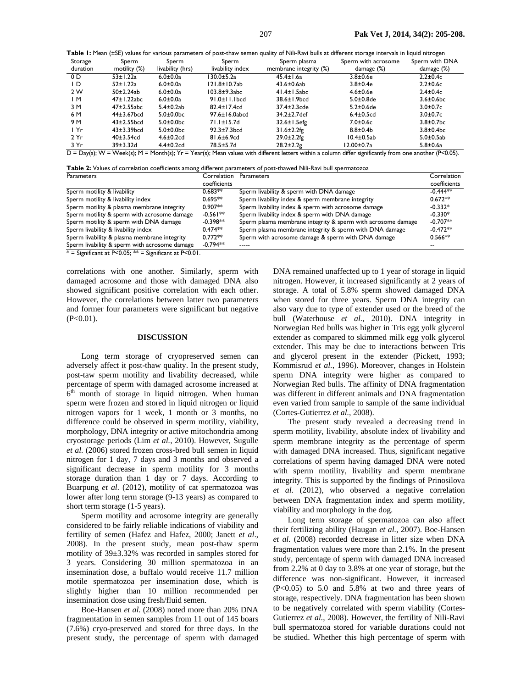Table 1: Mean (±SE) values for various parameters of post-thaw semen quality of Nili-Ravi bulls at different storage intervals in liquid nitrogen

|          |                   |                           |                     |                        |                     | ີ              |
|----------|-------------------|---------------------------|---------------------|------------------------|---------------------|----------------|
| Storage  | Sperm             | Sperm                     | Sperm               | Sperm plasma           | Sperm with acrosome | Sperm with DNA |
| duration | motility $(\%)$   | livability (hrs)          | livability index    | membrane integrity (%) | damage (%)          | damage (%)     |
| 0 D      | $53 \pm 1.22a$    | $6.0 \pm 0.0a$            | 130.0±5.2a          | $45.4 \pm 1.6a$        | $3.8 \pm 0.6$ e     | $2.2 \pm 0.4c$ |
| I D      | $52 \pm 1.22a$    | $6.0 \pm 0.0a$            | $121.8 \pm 10.7$ ab | $43.6 \pm 0.6$ ab      | $3.8 \pm 0.4e$      | $2.2 \pm 0.6c$ |
| 2 W      | $50\pm2.24ab$     | $6.0 \pm 0.0a$            | $103.8\pm9.3abc$    | $41.4 \pm 1.5$ abc     | $4.6 \pm 0.6$ e     | $2.4 \pm 0.4c$ |
| ΙM       | $47 \pm 1.22$ abc | $6.0 \pm 0.0a$            | $91.0 \pm 11.1$ bcd | 38.6±1.9bcd            | $5.0\pm0.8$ de      | $3.6\pm0.6$ bc |
| 3 M      | 47±2.55abc        | $5.4\pm0.2ab$             | $82.4 \pm 17.4$ cd  | 37.4±2.3cde            | $5.2 \pm 0.6$ de    | $3.0 \pm 0.7c$ |
| 6 M      | 44±3.67bcd        | $5.0\pm0.0$ bc            | 97.6±16.0abcd       | 34.2±2.7def            | $6.4\pm0.5$ cd      | $3.0 \pm 0.7c$ |
| 9 M      | $43\pm2.55$ bcd   | $5.0\pm0.0$ <sub>bc</sub> | $71.1 \pm 15.7$ d   | $32.6 \pm 1.5$ efg     | $7.0{\pm}0.6c$      | $3.8\pm0.7$ bc |
| I Yr     | $43\pm3.39$ bcd   | $5.0\pm0.0$ bc            | $92.3 \pm 7.3$ bcd  | $31.6 \pm 2.2$ fg      | $8.8 \pm 0.4$ b     | $3.8\pm0.4$ bc |
| 2 Yr     | $40\pm3.54$ cd    | $4.6 \pm 0.2$ cd          | $81.6 \pm 6.9$ cd   | $29.0 \pm 2.2$ fg      | $10.4\pm0.5ab$      | $5.0\pm0.5ab$  |
| 3 Yr     | 39±3.32d          | $4.4\pm0.2$ cd            | 78.5±5.7d           | $28.2 \pm 2.2$ g       | 12.00±0.7a          | $5.8 \pm 0.6a$ |

 $\overline{D}$  = Day(s); W = Week(s); M = Month(s); Yr = Year(s); Mean values with different letters within a column differ significantly from one another (P<0.05).

**Table 2:** Values of correlation coefficients among different parameters of post-thawed Nili-Ravi bull spermatozoa

| Parameters                                    | Correlation  | Parameters                                                   | Correlation  |
|-----------------------------------------------|--------------|--------------------------------------------------------------|--------------|
|                                               | coefficients |                                                              | coefficients |
| Sperm motility & livability                   | $0.683**$    | Sperm livability & sperm with DNA damage                     | $-0.444**$   |
| Sperm motility & livability index             | $0.695**$    | Sperm livability index & sperm membrane integrity            | $0.672**$    |
| Sperm motility & plasma membrane integrity    | $0.907**$    | Sperm livability index & sperm with acrosome damage          | $-0.332*$    |
| Sperm motility & sperm with acrosome damage   | $-0.561**$   | Sperm livability index & sperm with DNA damage               | $-0.330*$    |
| Sperm motility & sperm with DNA damage        | $-0.398**$   | Sperm plasma membrane integrity & sperm with acrosome damage | $-0.707**$   |
| Sperm livability & livability index           | $0.474**$    | Sperm plasma membrane integrity & sperm with DNA damage      | $-0.472**$   |
| Sperm livability & plasma membrane integrity  | $0.772**$    | Sperm with acrosome damage & sperm with DNA damage           | $0.566**$    |
| Sperm livability & sperm with acrosome damage | $-0.794**$   |                                                              |              |
| $*$ C $*$ D-000 $*$ C $*$ D-000 $*$           |              |                                                              |              |

 $* =$  Significant at P<0.05;  $** =$  Significant at P<0.01.

correlations with one another. Similarly, sperm with damaged acrosome and those with damaged DNA also showed significant positive correlation with each other. However, the correlations between latter two parameters and former four parameters were significant but negative  $(P<0.01)$ .

#### **DISCUSSION**

Long term storage of cryopreserved semen can adversely affect it post-thaw quality. In the present study, post-taw sperm motility and livability decreased, while percentage of sperm with damaged acrosome increased at  $6<sup>th</sup>$  month of storage in liquid nitrogen. When human sperm were frozen and stored in liquid nitrogen or liquid nitrogen vapors for 1 week, 1 month or 3 months, no difference could be observed in sperm motility, viability, morphology, DNA integrity or active mitochondria among cryostorage periods (Lim *et al.*, 2010). However, Sugulle *et al.* (2006) stored frozen cross-bred bull semen in liquid nitrogen for 1 day, 7 days and 3 months and observed a significant decrease in sperm motility for 3 months storage duration than 1 day or 7 days. According to Buarpung *et al.* (2012), motility of cat spermatozoa was lower after long term storage (9-13 years) as compared to short term storage (1-5 years).

Sperm motility and acrosome integrity are generally considered to be fairly reliable indications of viability and fertility of semen (Hafez and Hafez, 2000; Janett *et al*., 2008). In the present study, mean post-thaw sperm motility of 39±3.32% was recorded in samples stored for 3 years. Considering 30 million spermatozoa in an insemination dose, a buffalo would receive 11.7 million motile spermatozoa per insemination dose, which is slightly higher than 10 million recommended per insemination dose using fresh/fluid semen.

Boe-Hansen *et al.* (2008) noted more than 20% DNA fragmentation in semen samples from 11 out of 145 boars (7.6%) cryo-preserved and stored for three days. In the present study, the percentage of sperm with damaged DNA remained unaffected up to 1 year of storage in liquid nitrogen. However, it increased significantly at 2 years of storage. A total of 5.8% sperm showed damaged DNA when stored for three years. Sperm DNA integrity can also vary due to type of extender used or the breed of the bull (Waterhouse *et al.*, 2010). DNA integrity in Norwegian Red bulls was higher in Tris egg yolk glycerol extender as compared to skimmed milk egg yolk glycerol extender. This may be due to interactions between Tris and glycerol present in the extender (Pickett, 1993; Kommisrud *et al.*, 1996). Moreover, changes in Holstein sperm DNA integrity were higher as compared to Norwegian Red bulls. The affinity of DNA fragmentation was different in different animals and DNA fragmentation even varied from sample to sample of the same individual (Cortes-Gutierrez *et al.*, 2008).

The present study revealed a decreasing trend in sperm motility, livability, absolute index of livability and sperm membrane integrity as the percentage of sperm with damaged DNA increased. Thus, significant negative correlations of sperm having damaged DNA were noted with sperm motility, livability and sperm membrane integrity. This is supported by the findings of Prinosilova *et al.* (2012), who observed a negative correlation between DNA fragmentation index and sperm motility, viability and morphology in the dog.

Long term storage of spermatozoa can also affect their fertilizing ability (Haugan *et al.*, 2007). Boe-Hansen *et al.* (2008) recorded decrease in litter size when DNA fragmentation values were more than 2.1%. In the present study, percentage of sperm with damaged DNA increased from 2.2% at 0 day to 3.8% at one year of storage, but the difference was non-significant. However, it increased (P<0.05) to 5.0 and 5.8% at two and three years of storage, respectively. DNA fragmentation has been shown to be negatively correlated with sperm viability (Cortes-Gutierrez *et al.*, 2008). However, the fertility of Nili-Ravi bull spermatozoa stored for variable durations could not be studied. Whether this high percentage of sperm with